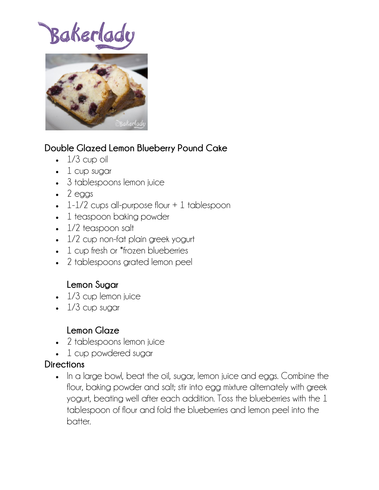# Bakerlady



## **Double Glazed Lemon Blueberry Pound Cake**

- $\cdot$  1/3 cup oil
- $\bullet$  1 cup sugar
- 3 tablespoons lemon juice
- $\bullet$  2 eggs
- $\cdot$  1-1/2 cups all-purpose flour  $+$  1 tablespoon
- 1 teaspoon baking powder
- 1/2 teaspoon salt
- 1/2 cup non-fat plain greek yogurt
- 1 cup fresh or \*frozen blueberries
- 2 tablespoons grated lemon peel

### **Lemon Sugar**

- 1/3 cup lemon juice
- $\cdot$  1/3 cup sugar

### **Lemon Glaze**

- 2 tablespoons lemon juice
- 1 cup powdered sugar

#### **Directions**

• In a large bowl, beat the oil, sugar, lemon juice and eggs. Combine the flour, baking powder and salt; stir into egg mixture alternately with greek yogurt, beating well after each addition. Toss the blueberries with the 1 tablespoon of flour and fold the blueberries and lemon peel into the batter.